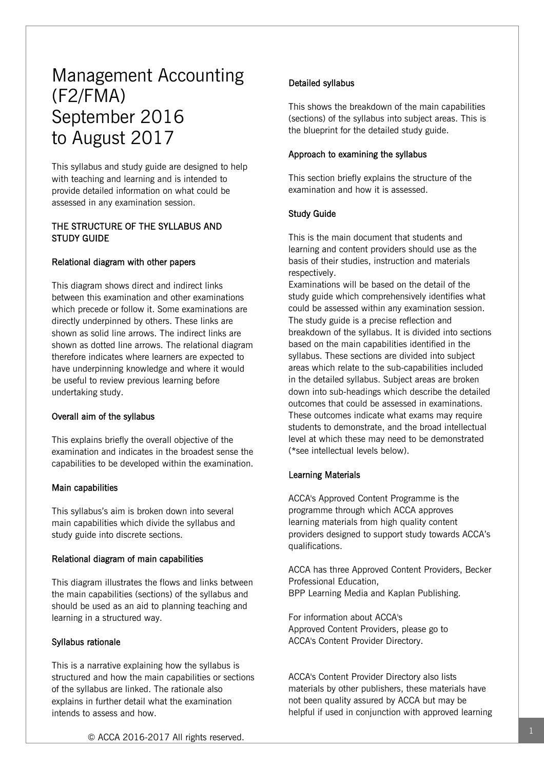# Management Accounting (F2/FMA) September 2016 to August 2017

This syllabus and study guide are designed to help with teaching and learning and is intended to provide detailed information on what could be assessed in any examination session.

# THE STRUCTURE OF THE SYLLABUS AND STUDY GUIDE

### Relational diagram with other papers

This diagram shows direct and indirect links between this examination and other examinations which precede or follow it. Some examinations are directly underpinned by others. These links are shown as solid line arrows. The indirect links are shown as dotted line arrows. The relational diagram therefore indicates where learners are expected to have underpinning knowledge and where it would be useful to review previous learning before undertaking study.

### Overall aim of the syllabus

This explains briefly the overall objective of the examination and indicates in the broadest sense the capabilities to be developed within the examination.

#### Main capabilities

This syllabus's aim is broken down into several main capabilities which divide the syllabus and study guide into discrete sections.

#### Relational diagram of main capabilities

This diagram illustrates the flows and links between the main capabilities (sections) of the syllabus and should be used as an aid to planning teaching and learning in a structured way.

#### Syllabus rationale

This is a narrative explaining how the syllabus is structured and how the main capabilities or sections of the syllabus are linked. The rationale also explains in further detail what the examination intends to assess and how.

#### Detailed syllabus

This shows the breakdown of the main capabilities (sections) of the syllabus into subject areas. This is the blueprint for the detailed study guide.

### Approach to examining the syllabus

This section briefly explains the structure of the examination and how it is assessed.

#### Study Guide

This is the main document that students and learning and content providers should use as the basis of their studies, instruction and materials respectively.

Examinations will be based on the detail of the study guide which comprehensively identifies what could be assessed within any examination session. The study guide is a precise reflection and breakdown of the syllabus. It is divided into sections based on the main capabilities identified in the syllabus. These sections are divided into subject areas which relate to the sub-capabilities included in the detailed syllabus. Subject areas are broken down into sub-headings which describe the detailed outcomes that could be assessed in examinations. These outcomes indicate what exams may require students to demonstrate, and the broad intellectual level at which these may need to be demonstrated (\*see intellectual levels below).

#### Learning Materials

ACCA's Approved Content Programme is the programme through which ACCA approves learning materials from high quality content providers designed to support study towards ACCA's qualifications.

ACCA has three Approved Content Providers, Becker Professional Education, BPP Learning Media and Kaplan Publishing.

For information about ACCA's Approved Content Providers, please go to ACCA's Content Provider Directory.

ACCA's Content Provider Directory also lists materials by other publishers, these materials have not been quality assured by ACCA but may be helpful if used in conjunction with approved learning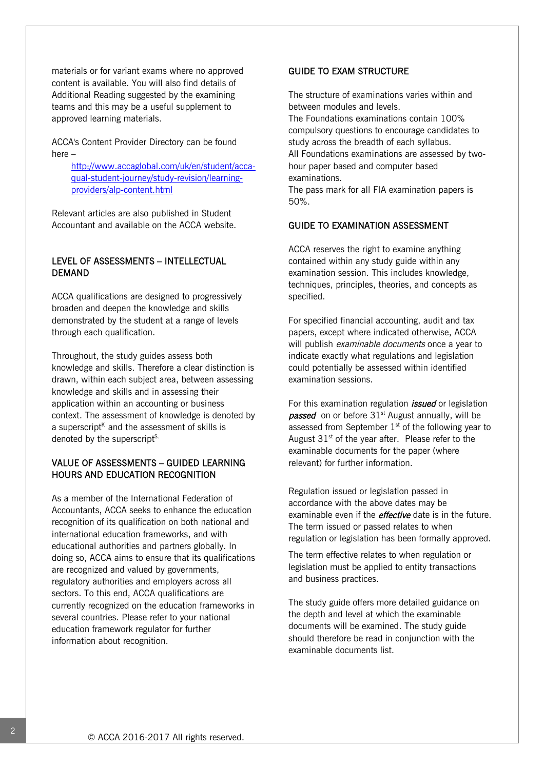materials or for variant exams where no approved content is available. You will also find details of Additional Reading suggested by the examining teams and this may be a useful supplement to approved learning materials.

ACCA's Content Provider Directory can be found here –

> *<sup>H</sup>* [http://www.accaglobal.com/uk/en/student/acca](http://www.accaglobal.com/uk/en/student/acca-qual-student-journey/study-revision/learning-providers/alp-content.html)[qual-student-journey/study-revision/learning](http://www.accaglobal.com/uk/en/student/acca-qual-student-journey/study-revision/learning-providers/alp-content.html)[providers/alp-content.html](http://www.accaglobal.com/uk/en/student/acca-qual-student-journey/study-revision/learning-providers/alp-content.html)

Relevant articles are also published in Student Accountant and available on the ACCA website.

# LEVEL OF ASSESSMENTS – INTELLECTUAL DEMAND

ACCA qualifications are designed to progressively broaden and deepen the knowledge and skills demonstrated by the student at a range of levels through each qualification.

Throughout, the study guides assess both knowledge and skills. Therefore a clear distinction is drawn, within each subject area, between assessing knowledge and skills and in assessing their application within an accounting or business context. The assessment of knowledge is denoted by a superscript<sup>k</sup> and the assessment of skills is denoted by the superscript<sup>S.</sup>

# VALUE OF ASSESSMENTS – GUIDED LEARNING HOURS AND EDUCATION RECOGNITION

As a member of the International Federation of Accountants, ACCA seeks to enhance the education recognition of its qualification on both national and international education frameworks, and with educational authorities and partners globally. In doing so, ACCA aims to ensure that its qualifications are recognized and valued by governments, regulatory authorities and employers across all sectors. To this end, ACCA qualifications are currently recognized on the education frameworks in several countries. Please refer to your national education framework regulator for further information about recognition.

# GUIDE TO EXAM STRUCTURE

The structure of examinations varies within and between modules and levels. The Foundations examinations contain 100% compulsory questions to encourage candidates to study across the breadth of each syllabus. All Foundations examinations are assessed by twohour paper based and computer based examinations. The pass mark for all FIA examination papers is 50%.

### GUIDE TO EXAMINATION ASSESSMENT

ACCA reserves the right to examine anything contained within any study guide within any examination session. This includes knowledge, techniques, principles, theories, and concepts as specified.

For specified financial accounting, audit and tax papers, except where indicated otherwise, ACCA will publish examinable documents once a year to indicate exactly what regulations and legislation could potentially be assessed within identified examination sessions.

For this examination regulation *issued* or legislation **passed** on or before  $31<sup>st</sup>$  August annually, will be assessed from September  $1<sup>st</sup>$  of the following year to August  $31<sup>st</sup>$  of the year after. Please refer to the examinable documents for the paper (where relevant) for further information.

Regulation issued or legislation passed in accordance with the above dates may be examinable even if the *effective* date is in the future. The term issued or passed relates to when regulation or legislation has been formally approved.

The term effective relates to when regulation or legislation must be applied to entity transactions and business practices.

The study guide offers more detailed guidance on the depth and level at which the examinable documents will be examined. The study guide should therefore be read in conjunction with the examinable documents list.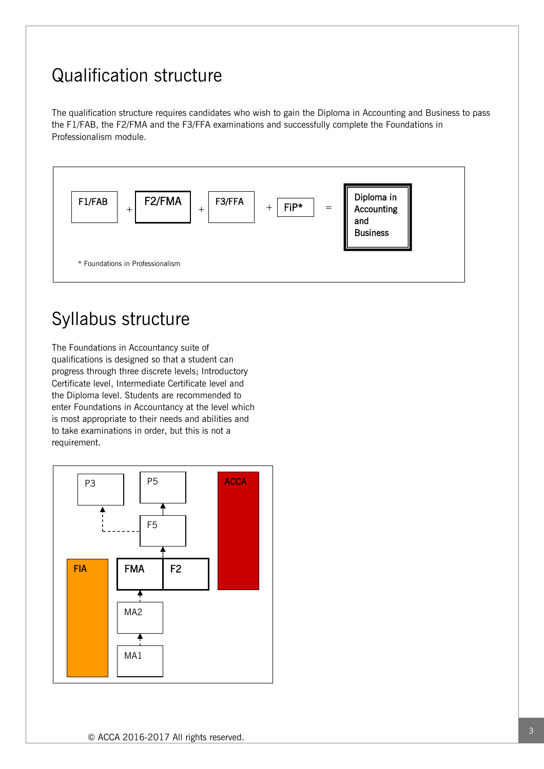# Qualification structure

The qualification structure requires candidates who wish to gain the Diploma in Accounting and Business to pass the F1/FAB, the F2/FMA and the F3/FFA examinations and successfully complete the Foundations in Professionalism module.



# Syllabus structure

The Foundations in Accountancy suite of qualifications is designed so that a student can progress through three discrete levels; Introductory Certificate level, Intermediate Certificate level and the Diploma level. Students are recommended to enter Foundations in Accountancy at the level which is most appropriate to their needs and abilities and to take examinations in order, but this is not a requirement.

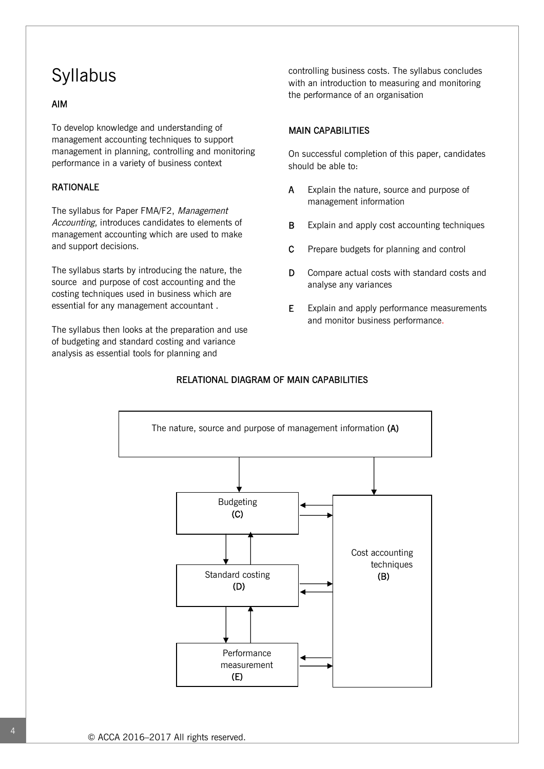# Syllabus

# AIM

To develop knowledge and understanding of management accounting techniques to support management in planning, controlling and monitoring performance in a variety of business context

# **RATIONALE**

The syllabus for Paper FMA/F2, Management Accounting, introduces candidates to elements of management accounting which are used to make and support decisions.

The syllabus starts by introducing the nature, the source and purpose of cost accounting and the costing techniques used in business which are essential for any management accountant .

The syllabus then looks at the preparation and use of budgeting and standard costing and variance analysis as essential tools for planning and

controlling business costs. The syllabus concludes with an introduction to measuring and monitoring the performance of an organisation

# MAIN CAPABILITIES

On successful completion of this paper, candidates should be able to:

- A Explain the nature, source and purpose of management information
- **B** Explain and apply cost accounting techniques
- C Prepare budgets for planning and control
- D Compare actual costs with standard costs and analyse any variances
- **E** Explain and apply performance measurements and monitor business performance.



# RELATIONAL DIAGRAM OF MAIN CAPABILITIES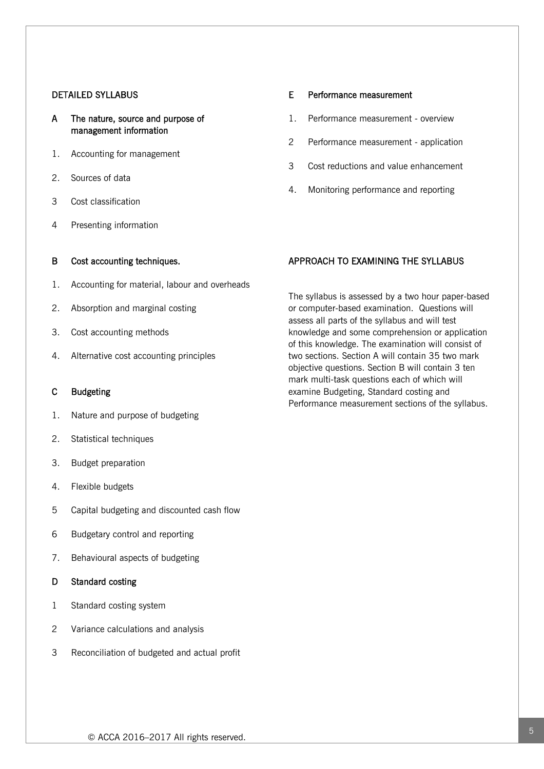#### DETAILED SYLLABUS

- A The nature, source and purpose of management information
- 1. Accounting for management
- 2. Sources of data
- 3 Cost classification
- 4 Presenting information

#### B Cost accounting techniques.

- 1. Accounting for material, labour and overheads
- 2. Absorption and marginal costing
- 3. Cost accounting methods
- 4. Alternative cost accounting principles

#### C Budgeting

- 1. Nature and purpose of budgeting
- 2. Statistical techniques
- 3. Budget preparation
- 4. Flexible budgets
- 5 Capital budgeting and discounted cash flow
- 6 Budgetary control and reporting
- 7. Behavioural aspects of budgeting

#### D Standard costing

- 1 Standard costing system
- 2 Variance calculations and analysis
- 3 Reconciliation of budgeted and actual profit

#### E Performance measurement

- 1. Performance measurement overview
- 2 Performance measurement application
- 3 Cost reductions and value enhancement
- 4. Monitoring performance and reporting

# APPROACH TO EXAMINING THE SYLLABUS

The syllabus is assessed by a two hour paper-based or computer-based examination. Questions will assess all parts of the syllabus and will test knowledge and some comprehension or application of this knowledge. The examination will consist of two sections. Section A will contain 35 two mark objective questions. Section B will contain 3 ten mark multi-task questions each of which will examine Budgeting, Standard costing and Performance measurement sections of the syllabus.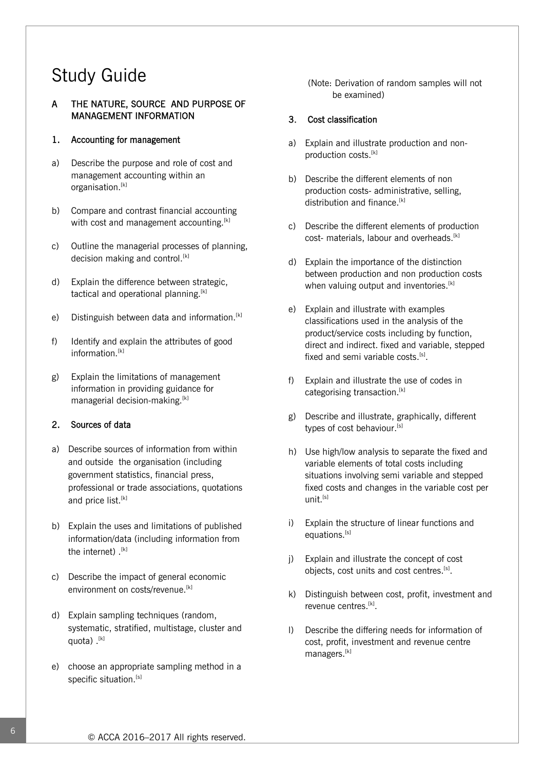# Study Guide

# A THE NATURE, SOURCE AND PURPOSE OF MANAGEMENT INFORMATION

## 1. Accounting for management

- a) Describe the purpose and role of cost and management accounting within an organisation.<sup>[k]</sup>
- b) Compare and contrast financial accounting with cost and management accounting.<sup>[k]</sup>
- c) Outline the managerial processes of planning, decision making and control.<sup>[k]</sup>
- d) Explain the difference between strategic, tactical and operational planning.<sup>[k]</sup>
- e) Distinguish between data and information.  $[k]$
- f) Identify and explain the attributes of good information.<sup>[k]</sup>
- g) Explain the limitations of management information in providing guidance for managerial decision-making.<sup>[k]</sup>

# 2. Sources of data

- a) Describe sources of information from within and outside the organisation (including government statistics, financial press, professional or trade associations, quotations and price list.<sup>[k]</sup>
- b) Explain the uses and limitations of published information/data (including information from the internet).<sup>[k]</sup>
- c) Describe the impact of general economic environment on costs/revenue.<sup>[k]</sup>
- d) Explain sampling techniques (random, systematic, stratified, multistage, cluster and quota).<sup>[k]</sup>
- e) choose an appropriate sampling method in a specific situation.<sup>[s]</sup>

(Note: Derivation of random samples will not be examined)

# 3. Cost classification

- a) Explain and illustrate production and nonproduction costs.<sup>[k]</sup>
- b) Describe the different elements of non production costs- administrative, selling, distribution and finance.<sup>[k]</sup>
- c) Describe the different elements of production cost- materials, labour and overheads.<sup>[k]</sup>
- d) Explain the importance of the distinction between production and non production costs when valuing output and inventories.<sup>[k]</sup>
- e) Explain and illustrate with examples classifications used in the analysis of the product/service costs including by function, direct and indirect. fixed and variable, stepped fixed and semi variable costs.<sup>[s]</sup>.
- f) Explain and illustrate the use of codes in categorising transaction.<sup>[k]</sup>
- g) Describe and illustrate, graphically, different types of cost behaviour.<sup>[s]</sup>
- h) Use high/low analysis to separate the fixed and variable elements of total costs including situations involving semi variable and stepped fixed costs and changes in the variable cost per  $unit<sup>[s]</sup>$
- i) Explain the structure of linear functions and equations.<sup>[s]</sup>
- j) Explain and illustrate the concept of cost objects, cost units and cost centres.<sup>[s]</sup>.
- k) Distinguish between cost, profit, investment and revenue centres.<sup>[k]</sup>.
- l) Describe the differing needs for information of cost, profit, investment and revenue centre managers.<sup>[k]</sup>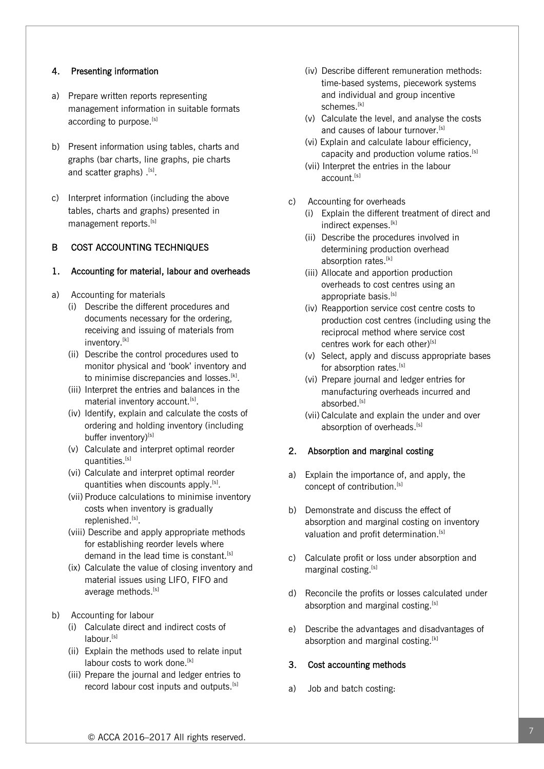# 4. Presenting information

- a) Prepare written reports representing management information in suitable formats according to purpose.<sup>[s]</sup>
- b) Present information using tables, charts and graphs (bar charts, line graphs, pie charts and scatter graphs). [s]
- c) Interpret information (including the above tables, charts and graphs) presented in management reports.<sup>[s]</sup>

# B COST ACCOUNTING TECHNIQUES

# 1. Accounting for material, labour and overheads

- a) Accounting for materials
	- (i) Describe the different procedures and documents necessary for the ordering, receiving and issuing of materials from inventory.[k]
	- (ii) Describe the control procedures used to monitor physical and 'book' inventory and to minimise discrepancies and losses.<sup>[k]</sup>.
	- (iii) Interpret the entries and balances in the material inventory account.<sup>[s]</sup>.
	- (iv) Identify, explain and calculate the costs of ordering and holding inventory (including buffer inventory)<sup>[s]</sup>
	- (v) Calculate and interpret optimal reorder quantities.<sup>[s]</sup>
	- (vi) Calculate and interpret optimal reorder quantities when discounts apply.<sup>[s]</sup>.
	- (vii) Produce calculations to minimise inventory costs when inventory is gradually replenished.<sup>[s]</sup>.
	- (viii) Describe and apply appropriate methods for establishing reorder levels where demand in the lead time is constant.<sup>[s]</sup>
	- (ix) Calculate the value of closing inventory and material issues using LIFO, FIFO and average methods.<sup>[s]</sup>
- b) Accounting for labour
	- (i) Calculate direct and indirect costs of  $l$ abour $^{[s]}$
	- (ii) Explain the methods used to relate input labour costs to work done.<sup>[k]</sup>
	- (iii) Prepare the journal and ledger entries to record labour cost inputs and outputs.<sup>[s]</sup>
- (iv) Describe different remuneration methods: time-based systems, piecework systems and individual and group incentive schemes.<sup>[k]</sup>
- (v) Calculate the level, and analyse the costs and causes of labour turnover.<sup>[s]</sup>
- (vi) Explain and calculate labour efficiency, capacity and production volume ratios.<sup>[s]</sup>
- (vii) Interpret the entries in the labour account.<sup>[s]</sup>
- c) Accounting for overheads
	- (i) Explain the different treatment of direct and indirect expenses.<sup>[k]</sup>
	- (ii) Describe the procedures involved in determining production overhead absorption rates.<sup>[k]</sup>
	- (iii) Allocate and apportion production overheads to cost centres using an appropriate basis.<sup>[s]</sup>
	- (iv) Reapportion service cost centre costs to production cost centres (including using the reciprocal method where service cost centres work for each other)<sup>[s]</sup>
	- (v) Select, apply and discuss appropriate bases for absorption rates.<sup>[s]</sup>
	- (vi) Prepare journal and ledger entries for manufacturing overheads incurred and absorbed.<sup>[s]</sup>
	- (vii) Calculate and explain the under and over absorption of overheads.<sup>[s]</sup>

# 2. Absorption and marginal costing

- a) Explain the importance of, and apply, the concept of contribution.<sup>[s]</sup>
- b) Demonstrate and discuss the effect of absorption and marginal costing on inventory valuation and profit determination.<sup>[s]</sup>
- c) Calculate profit or loss under absorption and marginal costing.<sup>[s]</sup>
- d) Reconcile the profits or losses calculated under absorption and marginal costing.<sup>[s]</sup>
- e) Describe the advantages and disadvantages of absorption and marginal costing.<sup>[k]</sup>

# 3. Cost accounting methods

a) Job and batch costing: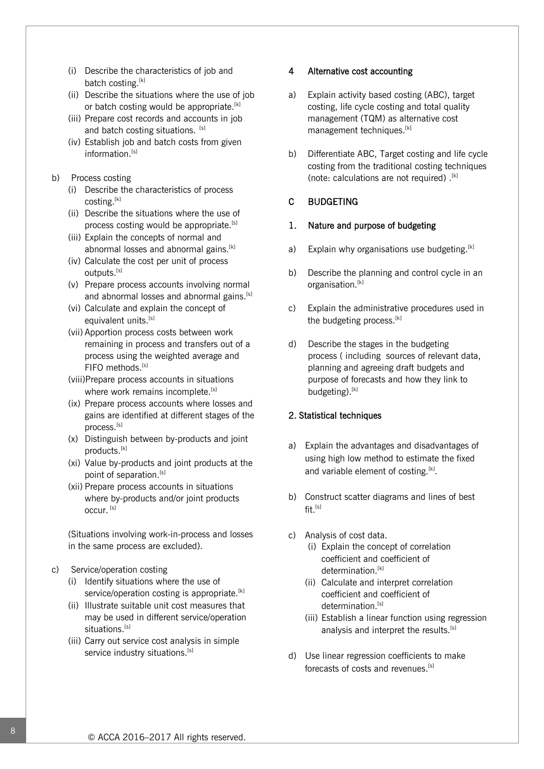- (i) Describe the characteristics of job and batch costing.<sup>[k]</sup>
- (ii) Describe the situations where the use of job or batch costing would be appropriate.<sup>[k]</sup>
- (iii) Prepare cost records and accounts in job and batch costing situations. [s]
- (iv) Establish job and batch costs from given information.<sup>[s]</sup>
- b) Process costing
	- (i) Describe the characteristics of process costing.<sup>[k]</sup>
	- (ii) Describe the situations where the use of process costing would be appropriate.<sup>[s]</sup>
	- (iii) Explain the concepts of normal and abnormal losses and abnormal gains.<sup>[k]</sup>
	- (iv) Calculate the cost per unit of process outputs.<sup>[s]</sup>
	- (v) Prepare process accounts involving normal and abnormal losses and abnormal gains.<sup>[s]</sup>
	- (vi) Calculate and explain the concept of equivalent units.<sup>[s]</sup>
	- (vii) Apportion process costs between work remaining in process and transfers out of a process using the weighted average and FIFO methods.<sup>[s]</sup>
	- (viii)Prepare process accounts in situations where work remains incomplete.<sup>[s]</sup>
	- (ix) Prepare process accounts where losses and gains are identified at different stages of the process.<sup>[s]</sup>
	- (x) Distinguish between by-products and joint products.<sup>[k]</sup>
	- (xi) Value by-products and joint products at the point of separation.<sup>[s]</sup>
	- (xii) Prepare process accounts in situations where by-products and/or joint products occur. [s]

(Situations involving work-in-process and losses in the same process are excluded).

#### c) Service/operation costing

- (i) Identify situations where the use of service/operation costing is appropriate.<sup>[k]</sup>
- (ii) Illustrate suitable unit cost measures that may be used in different service/operation situations.<sup>[s]</sup>
- (iii) Carry out service cost analysis in simple service industry situations.<sup>[s]</sup>

# 4 Alternative cost accounting

- a) Explain activity based costing (ABC), target costing, life cycle costing and total quality management (TQM) as alternative cost management techniques.<sup>[k]</sup>
- b) Differentiate ABC, Target costing and life cycle costing from the traditional costing techniques (note: calculations are not required). [k]

# C BUDGETING

### 1. Nature and purpose of budgeting

- a) Explain why organisations use budgeting.  $[k]$
- b) Describe the planning and control cycle in an organisation.<sup>[k]</sup>
- c) Explain the administrative procedures used in the budgeting process.<sup>[k]</sup>
- d) Describe the stages in the budgeting process ( including sources of relevant data, planning and agreeing draft budgets and purpose of forecasts and how they link to budgeting).<sup>[k]</sup>

# 2. Statistical techniques

- a) Explain the advantages and disadvantages of using high low method to estimate the fixed and variable element of costing. [k].
- b) Construct scatter diagrams and lines of best fit.<sup>[s]</sup>
- c) Analysis of cost data.
	- (i) Explain the concept of correlation coefficient and coefficient of determination.<sup>[k]</sup>
	- (ii) Calculate and interpret correlation coefficient and coefficient of determination.<sup>[s]</sup>
	- (iii) Establish a linear function using regression analysis and interpret the results.<sup>[s]</sup>
- d) Use linear regression coefficients to make forecasts of costs and revenues.<sup>[s]</sup>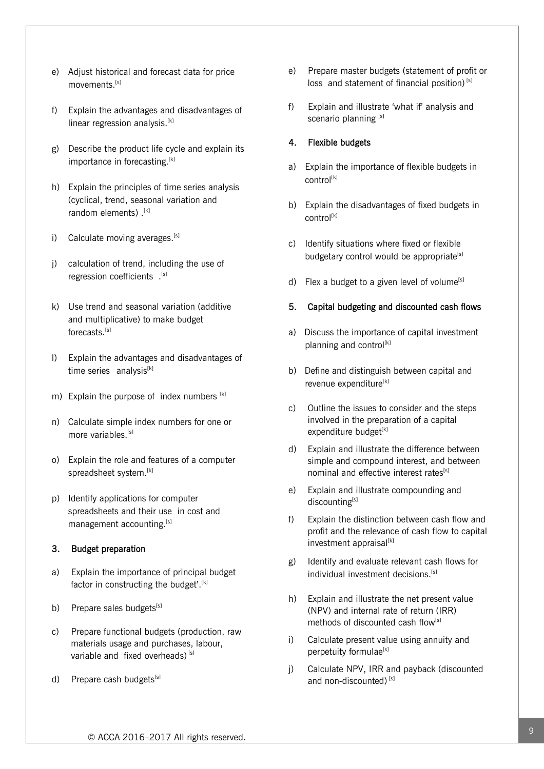- e) Adjust historical and forecast data for price movements.<sup>[s]</sup>
- f) Explain the advantages and disadvantages of linear regression analysis.<sup>[k]</sup>
- g) Describe the product life cycle and explain its importance in forecasting.<sup>[k]</sup>
- h) Explain the principles of time series analysis (cyclical, trend, seasonal variation and random elements).<sup>[k]</sup>
- i) Calculate moving averages.<sup>[s]</sup>
- j) calculation of trend, including the use of regression coefficients .<sup>[s]</sup>
- k) Use trend and seasonal variation (additive and multiplicative) to make budget forecasts.<sup>[s]</sup>
- l) Explain the advantages and disadvantages of time series analysis<sup>[k]</sup>
- m) Explain the purpose of index numbers  $[k]$
- n) Calculate simple index numbers for one or more variables.<sup>[s]</sup>
- o) Explain the role and features of a computer spreadsheet system.<sup>[k]</sup>
- p) Identify applications for computer spreadsheets and their use in cost and management accounting.<sup>[s]</sup>
- 3. Budget preparation
- a) Explain the importance of principal budget factor in constructing the budget'. $[k]$
- b) Prepare sales budgets<sup>[s]</sup>
- c) Prepare functional budgets (production, raw materials usage and purchases, labour, variable and fixed overheads) [s]
- d) Prepare cash budgets $^{[s]}$
- e) Prepare master budgets (statement of profit or loss and statement of financial position) [s]
- f) Explain and illustrate 'what if' analysis and scenario planning [s]

# 4. Flexible budgets

- a) Explain the importance of flexible budgets in control<sup>[k]</sup>
- b) Explain the disadvantages of fixed budgets in control<sup>[k]</sup>
- c) Identify situations where fixed or flexible budgetary control would be appropriate<sup>[s]</sup>
- d) Flex a budget to a given level of volume<sup>[s]</sup>

### 5. Capital budgeting and discounted cash flows

- a) Discuss the importance of capital investment planning and control<sup>[k]</sup>
- b) Define and distinguish between capital and revenue expenditure<sup>[k]</sup>
- c) Outline the issues to consider and the steps involved in the preparation of a capital expenditure budget<sup>[k]</sup>
- d) Explain and illustrate the difference between simple and compound interest, and between nominal and effective interest rates<sup>[s]</sup>
- e) Explain and illustrate compounding and  $discounting<sup>[s]</sup>$
- f) Explain the distinction between cash flow and profit and the relevance of cash flow to capital investment appraisal $[k]$
- g) Identify and evaluate relevant cash flows for individual investment decisions.<sup>[s]</sup>
- h) Explain and illustrate the net present value (NPV) and internal rate of return (IRR) methods of discounted cash flow<sup>[s]</sup>
- i) Calculate present value using annuity and perpetuity formulae<sup>[s]</sup>
- j) Calculate NPV, IRR and payback (discounted and non-discounted)<sup>[s]</sup>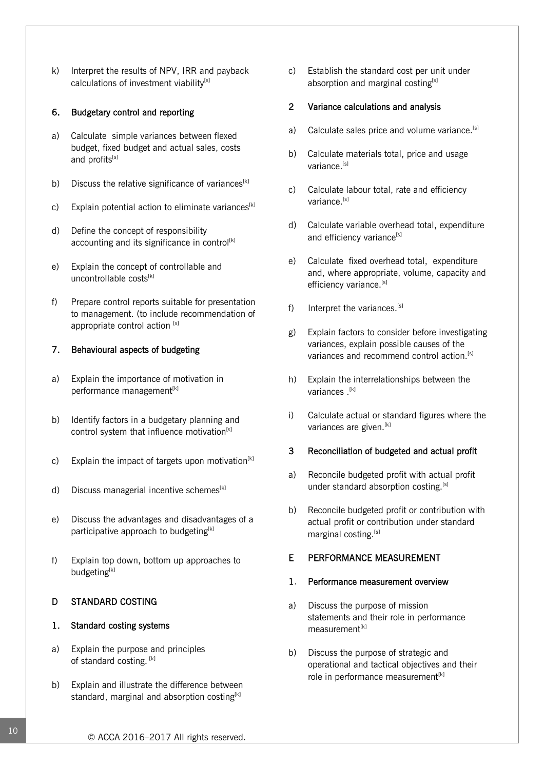k) Interpret the results of NPV, IRR and payback calculations of investment viability $[<sup>[s]</sup>]$ 

### 6. Budgetary control and reporting

- a) Calculate simple variances between flexed budget, fixed budget and actual sales, costs and profits<sup>[s]</sup>
- b) Discuss the relative significance of variances<sup>[k]</sup>
- c) Explain potential action to eliminate variances<sup>[k]</sup>
- d) Define the concept of responsibility accounting and its significance in control<sup>[k]</sup>
- e) Explain the concept of controllable and uncontrollable costs<sup>[k]</sup>
- f) Prepare control reports suitable for presentation to management. (to include recommendation of appropriate control action [s]

## 7. Behavioural aspects of budgeting

- a) Explain the importance of motivation in performance management<sup>[k]</sup>
- b) Identify factors in a budgetary planning and control system that influence motivation<sup>[s]</sup>
- c) Explain the impact of targets upon motivation<sup>[k]</sup>
- d) Discuss managerial incentive schemes<sup>[k]</sup>
- e) Discuss the advantages and disadvantages of a participative approach to budgeting<sup>[k]</sup>
- f) Explain top down, bottom up approaches to budgeting[k]

# D STANDARD COSTING

### 1. Standard costing systems

- a) Explain the purpose and principles of standard costing. [k]
- b) Explain and illustrate the difference between standard, marginal and absorption costing<sup>[k]</sup>

c) Establish the standard cost per unit under absorption and marginal costing<sup>[s]</sup>

### 2 Variance calculations and analysis

- a) Calculate sales price and volume variance.<sup>[s]</sup>
- b) Calculate materials total, price and usage variance.<sup>[s]</sup>
- c) Calculate labour total, rate and efficiency variance.<sup>[s]</sup>
- d) Calculate variable overhead total, expenditure and efficiency variance<sup>[s]</sup>
- e) Calculate fixed overhead total, expenditure and, where appropriate, volume, capacity and efficiency variance.<sup>[s]</sup>
- f) Interpret the variances.  $[s]$
- g) Explain factors to consider before investigating variances, explain possible causes of the variances and recommend control action.<sup>[s]</sup>
- h) Explain the interrelationships between the variances . [k]
- i) Calculate actual or standard figures where the variances are given. [k]

### 3 Reconciliation of budgeted and actual profit

- a) Reconcile budgeted profit with actual profit under standard absorption costing.<sup>[s]</sup>
- b) Reconcile budgeted profit or contribution with actual profit or contribution under standard marginal costing.<sup>[s]</sup>

# E PERFORMANCE MEASUREMENT

#### 1. Performance measurement overview

- a) Discuss the purpose of mission statements and their role in performance  $measurable$
- b) Discuss the purpose of strategic and operational and tactical objectives and their role in performance measurement<sup>[k]</sup>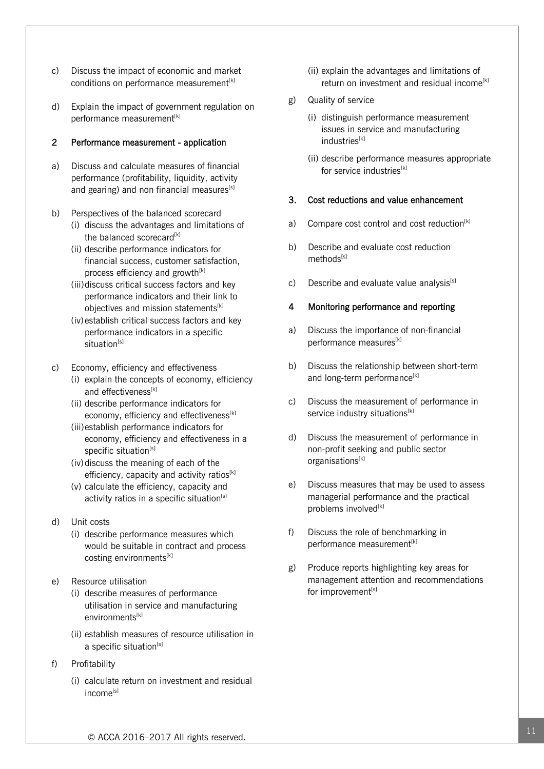- c) Discuss the impact of economic and market conditions on performance measurement<sup>[k]</sup>
- d) Explain the impact of government regulation on performance measurement<sup>[k]</sup>

#### 2 Performance measurement - application

a) Discuss and calculate measures of financial performance (profitability, liquidity, activity and gearing) and non financial measures<sup>[s]</sup>

#### b) Perspectives of the balanced scorecard

- (i) discuss the advantages and limitations of the balanced scorecard<sup>[k]</sup>
- (ii) describe performance indicators for financial success, customer satisfaction, process efficiency and growth<sup>[k]</sup>
- (iii)discuss critical success factors and key performance indicators and their link to objectives and mission statements<sup>[k]</sup>
- (iv)establish critical success factors and key performance indicators in a specific situation<sup>[s]</sup>
- c) Economy, efficiency and effectiveness
	- (i) explain the concepts of economy, efficiency and effectiveness[k]
	- (ii) describe performance indicators for economy, efficiency and effectiveness<sup>[k]</sup>
	- (iii)establish performance indicators for economy, efficiency and effectiveness in a specific situation<sup>[s]</sup>
	- (iv)discuss the meaning of each of the efficiency, capacity and activity ratios<sup>[k]</sup>
	- (v) calculate the efficiency, capacity and activity ratios in a specific situation<sup>[s]</sup>
- d) Unit costs
	- (i) describe performance measures which would be suitable in contract and process costing environments $[k]$
- e) Resource utilisation
	- (i) describe measures of performance utilisation in service and manufacturing environments<sup>[k]</sup>
	- (ii) establish measures of resource utilisation in a specific situation<sup>[s]</sup>
- f) Profitability
	- (i) calculate return on investment and residual income<sup>[s]</sup>
- (ii) explain the advantages and limitations of return on investment and residual income<sup>[k]</sup>
- g) Quality of service
	- (i) distinguish performance measurement issues in service and manufacturing industries[k]
	- (ii) describe performance measures appropriate for service industries $[k]$

## 3. Cost reductions and value enhancement

- a) Compare cost control and cost reduction<sup>[k]</sup>
- b) Describe and evaluate cost reduction methods<sup>[s]</sup>
- c) Describe and evaluate value analysis $[<sup>[s]</sup>]$

## 4 Monitoring performance and reporting

- a) Discuss the importance of non-financial performance measures<sup>[k]</sup>
- b) Discuss the relationship between short-term and long-term performance<sup>[k]</sup>
- c) Discuss the measurement of performance in service industry situations<sup>[k]</sup>
- d) Discuss the measurement of performance in non-profit seeking and public sector organisations<sup>[k]</sup>
- e) Discuss measures that may be used to assess managerial performance and the practical problems involved<sup>[k]</sup>
- f) Discuss the role of benchmarking in performance measurement<sup>[k]</sup>
- g) Produce reports highlighting key areas for management attention and recommendations for improvement<sup>[s]</sup>